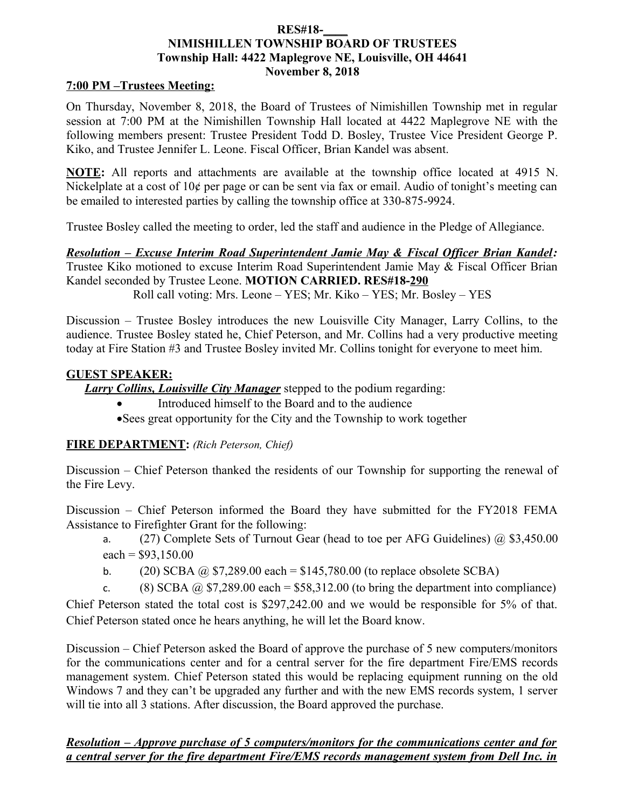## **RES#18-\_\_\_\_ NIMISHILLEN TOWNSHIP BOARD OF TRUSTEES Township Hall: 4422 Maplegrove NE, Louisville, OH 44641 November 8, 2018**

# **7:00 PM –Trustees Meeting:**

On Thursday, November 8, 2018, the Board of Trustees of Nimishillen Township met in regular session at 7:00 PM at the Nimishillen Township Hall located at 4422 Maplegrove NE with the following members present: Trustee President Todd D. Bosley, Trustee Vice President George P. Kiko, and Trustee Jennifer L. Leone. Fiscal Officer, Brian Kandel was absent.

**NOTE:** All reports and attachments are available at the township office located at 4915 N. Nickelplate at a cost of 10¢ per page or can be sent via fax or email. Audio of tonight's meeting can be emailed to interested parties by calling the township office at 330-875-9924.

Trustee Bosley called the meeting to order, led the staff and audience in the Pledge of Allegiance.

*Resolution – Excuse Interim Road Superintendent Jamie May & Fiscal Officer Brian Kandel:* Trustee Kiko motioned to excuse Interim Road Superintendent Jamie May & Fiscal Officer Brian Kandel seconded by Trustee Leone. **MOTION CARRIED. RES#18-290** Roll call voting: Mrs. Leone – YES; Mr. Kiko – YES; Mr. Bosley – YES

Discussion – Trustee Bosley introduces the new Louisville City Manager, Larry Collins, to the audience. Trustee Bosley stated he, Chief Peterson, and Mr. Collins had a very productive meeting today at Fire Station #3 and Trustee Bosley invited Mr. Collins tonight for everyone to meet him.

## **GUEST SPEAKER:**

*Larry Collins, Louisville City Manager* stepped to the podium regarding:

- Introduced himself to the Board and to the audience
- Sees great opportunity for the City and the Township to work together

# **FIRE DEPARTMENT:** *(Rich Peterson, Chief)*

Discussion – Chief Peterson thanked the residents of our Township for supporting the renewal of the Fire Levy.

Discussion – Chief Peterson informed the Board they have submitted for the FY2018 FEMA Assistance to Firefighter Grant for the following:

a. (27) Complete Sets of Turnout Gear (head to toe per AFG Guidelines) @ \$3,450.00  $each = $93,150.00$ 

b. (20) SCBA  $\omega$  \$7,289.00 each = \$145,780.00 (to replace obsolete SCBA)

c. (8) SCBA  $\omega$  \$7,289.00 each = \$58,312.00 (to bring the department into compliance)

Chief Peterson stated the total cost is \$297,242.00 and we would be responsible for 5% of that. Chief Peterson stated once he hears anything, he will let the Board know.

Discussion – Chief Peterson asked the Board of approve the purchase of 5 new computers/monitors for the communications center and for a central server for the fire department Fire/EMS records management system. Chief Peterson stated this would be replacing equipment running on the old Windows 7 and they can't be upgraded any further and with the new EMS records system, 1 server will tie into all 3 stations. After discussion, the Board approved the purchase.

*Resolution – Approve purchase of 5 computers/monitors for the communications center and for a central server for the fire department Fire/EMS records management system from Dell Inc. in*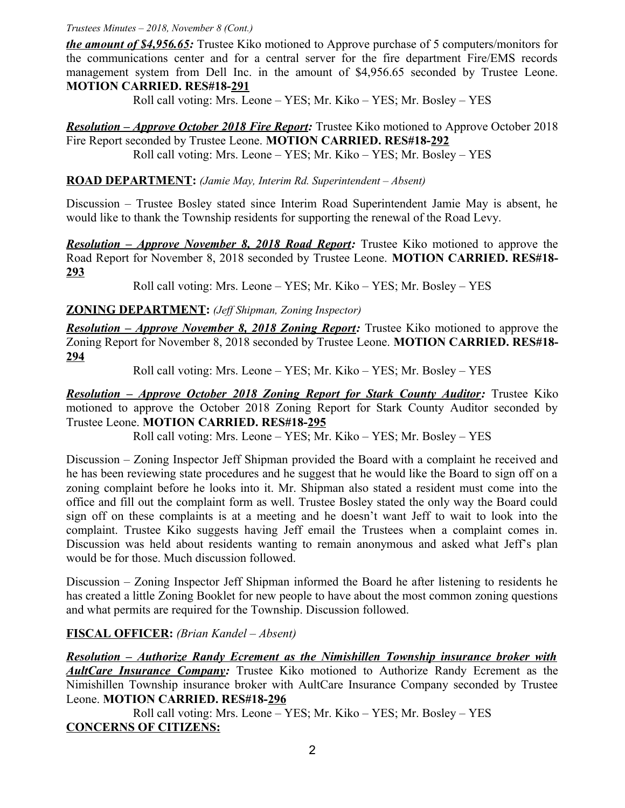### *Trustees Minutes – 2018, November 8 (Cont.)*

*the amount of \$4,956.65:* Trustee Kiko motioned to Approve purchase of 5 computers/monitors for the communications center and for a central server for the fire department Fire/EMS records management system from Dell Inc. in the amount of \$4,956.65 seconded by Trustee Leone. **MOTION CARRIED. RES#18-291**

Roll call voting: Mrs. Leone – YES; Mr. Kiko – YES; Mr. Bosley – YES

*Resolution – Approve October 2018 Fire Report:* Trustee Kiko motioned to Approve October 2018 Fire Report seconded by Trustee Leone. **MOTION CARRIED. RES#18-292** Roll call voting: Mrs. Leone – YES; Mr. Kiko – YES; Mr. Bosley – YES

**ROAD DEPARTMENT:** *(Jamie May, Interim Rd. Superintendent – Absent)*

Discussion – Trustee Bosley stated since Interim Road Superintendent Jamie May is absent, he would like to thank the Township residents for supporting the renewal of the Road Levy.

*Resolution – Approve November 8, 2018 Road Report:* Trustee Kiko motioned to approve the Road Report for November 8, 2018 seconded by Trustee Leone. **MOTION CARRIED. RES#18- 293**

Roll call voting: Mrs. Leone – YES; Mr. Kiko – YES; Mr. Bosley – YES

# **ZONING DEPARTMENT:** *(Jeff Shipman, Zoning Inspector)*

*Resolution – Approve November 8, 2018 Zoning Report:* Trustee Kiko motioned to approve the Zoning Report for November 8, 2018 seconded by Trustee Leone. **MOTION CARRIED. RES#18- 294**

Roll call voting: Mrs. Leone – YES; Mr. Kiko – YES; Mr. Bosley – YES

*Resolution – Approve October 2018 Zoning Report for Stark County Auditor:* Trustee Kiko motioned to approve the October 2018 Zoning Report for Stark County Auditor seconded by Trustee Leone. **MOTION CARRIED. RES#18-295**

Roll call voting: Mrs. Leone – YES; Mr. Kiko – YES; Mr. Bosley – YES

Discussion – Zoning Inspector Jeff Shipman provided the Board with a complaint he received and he has been reviewing state procedures and he suggest that he would like the Board to sign off on a zoning complaint before he looks into it. Mr. Shipman also stated a resident must come into the office and fill out the complaint form as well. Trustee Bosley stated the only way the Board could sign off on these complaints is at a meeting and he doesn't want Jeff to wait to look into the complaint. Trustee Kiko suggests having Jeff email the Trustees when a complaint comes in. Discussion was held about residents wanting to remain anonymous and asked what Jeff's plan would be for those. Much discussion followed.

Discussion – Zoning Inspector Jeff Shipman informed the Board he after listening to residents he has created a little Zoning Booklet for new people to have about the most common zoning questions and what permits are required for the Township. Discussion followed.

# **FISCAL OFFICER:** *(Brian Kandel – Absent)*

*Resolution – Authorize Randy Ecrement as the Nimishillen Township insurance broker with AultCare Insurance Company:* Trustee Kiko motioned to Authorize Randy Ecrement as the Nimishillen Township insurance broker with AultCare Insurance Company seconded by Trustee Leone. **MOTION CARRIED. RES#18-296**

Roll call voting: Mrs. Leone – YES; Mr. Kiko – YES; Mr. Bosley – YES **CONCERNS OF CITIZENS:**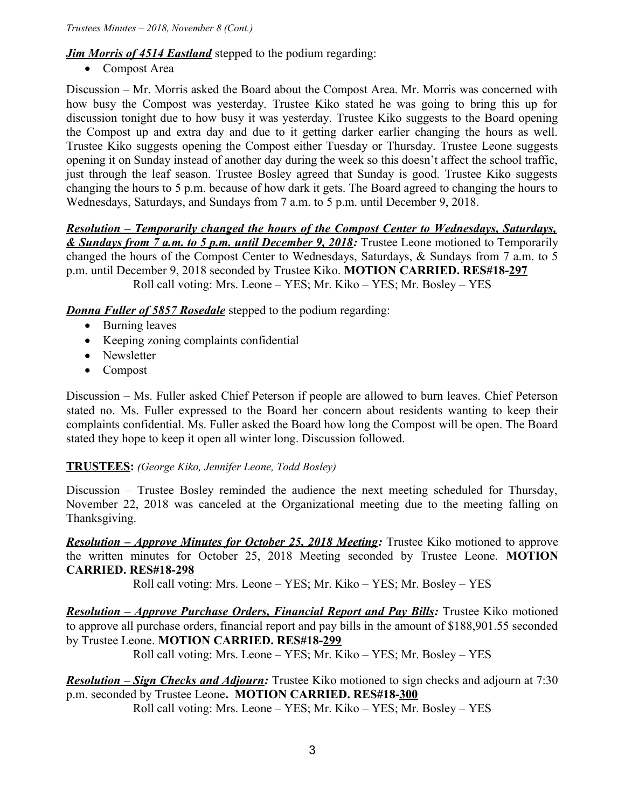*Jim Morris of 4514 Eastland* stepped to the podium regarding:

• Compost Area

Discussion – Mr. Morris asked the Board about the Compost Area. Mr. Morris was concerned with how busy the Compost was yesterday. Trustee Kiko stated he was going to bring this up for discussion tonight due to how busy it was yesterday. Trustee Kiko suggests to the Board opening the Compost up and extra day and due to it getting darker earlier changing the hours as well. Trustee Kiko suggests opening the Compost either Tuesday or Thursday. Trustee Leone suggests opening it on Sunday instead of another day during the week so this doesn't affect the school traffic, just through the leaf season. Trustee Bosley agreed that Sunday is good. Trustee Kiko suggests changing the hours to 5 p.m. because of how dark it gets. The Board agreed to changing the hours to Wednesdays, Saturdays, and Sundays from 7 a.m. to 5 p.m. until December 9, 2018.

*Resolution – Temporarily changed the hours of the Compost Center to Wednesdays, Saturdays, & Sundays from 7 a.m. to 5 p.m. until December 9, 2018:* Trustee Leone motioned to Temporarily changed the hours of the Compost Center to Wednesdays, Saturdays, & Sundays from 7 a.m. to 5 p.m. until December 9, 2018 seconded by Trustee Kiko. **MOTION CARRIED. RES#18-297** Roll call voting: Mrs. Leone – YES; Mr. Kiko – YES; Mr. Bosley – YES

*Donna Fuller of 5857 Rosedale* stepped to the podium regarding:

- Burning leaves
- Keeping zoning complaints confidential
- Newsletter
- Compost

Discussion – Ms. Fuller asked Chief Peterson if people are allowed to burn leaves. Chief Peterson stated no. Ms. Fuller expressed to the Board her concern about residents wanting to keep their complaints confidential. Ms. Fuller asked the Board how long the Compost will be open. The Board stated they hope to keep it open all winter long. Discussion followed.

# **TRUSTEES:** *(George Kiko, Jennifer Leone, Todd Bosley)*

Discussion – Trustee Bosley reminded the audience the next meeting scheduled for Thursday, November 22, 2018 was canceled at the Organizational meeting due to the meeting falling on Thanksgiving.

 *Resolution – Approve Minutes for October 25, 2018 Meeting:* Trustee Kiko motioned to approve the written minutes for October 25, 2018 Meeting seconded by Trustee Leone. **MOTION CARRIED. RES#18-298**

Roll call voting: Mrs. Leone – YES; Mr. Kiko – YES; Mr. Bosley – YES

*Resolution – Approve Purchase Orders, Financial Report and Pay Bills:* Trustee Kiko motioned to approve all purchase orders, financial report and pay bills in the amount of \$188,901.55 seconded by Trustee Leone. **MOTION CARRIED. RES#18-299**

Roll call voting: Mrs. Leone – YES; Mr. Kiko – YES; Mr. Bosley – YES

*Resolution – Sign Checks and Adjourn:* Trustee Kiko motioned to sign checks and adjourn at 7:30 p.m. seconded by Trustee Leone**. MOTION CARRIED. RES#18-300**

Roll call voting: Mrs. Leone – YES; Mr. Kiko – YES; Mr. Bosley – YES